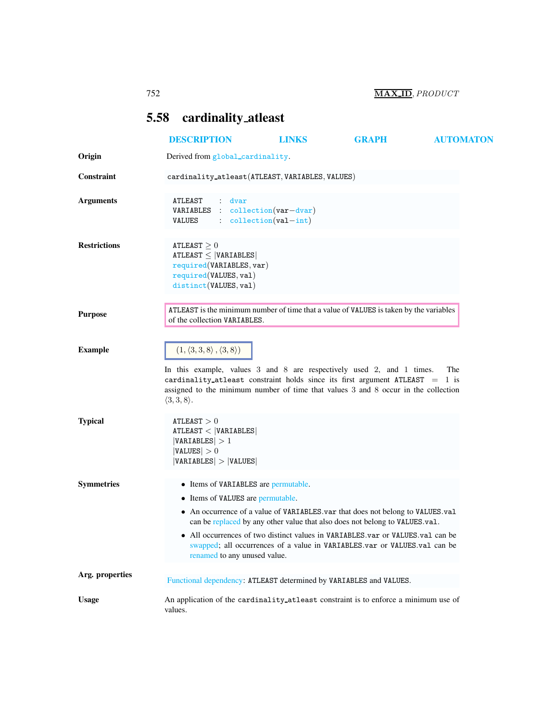## <span id="page-0-0"></span>5.58 cardinality atleast

|                     | <b>DESCRIPTION</b>                                                                                                           |                                                                                                           | <b>LINKS</b> | <b>GRAPH</b>                                                                                                                                                                                                                                                                                                                 | <b>AUTOMATON</b> |
|---------------------|------------------------------------------------------------------------------------------------------------------------------|-----------------------------------------------------------------------------------------------------------|--------------|------------------------------------------------------------------------------------------------------------------------------------------------------------------------------------------------------------------------------------------------------------------------------------------------------------------------------|------------------|
| Origin              | Derived from global_cardinality.                                                                                             |                                                                                                           |              |                                                                                                                                                                                                                                                                                                                              |                  |
| Constraint          | cardinality_atleast(ATLEAST, VARIABLES, VALUES)                                                                              |                                                                                                           |              |                                                                                                                                                                                                                                                                                                                              |                  |
| <b>Arguments</b>    | ATLEAST<br><b>VARIABLES</b> : collection $(var-dvar)$<br><b>VALUES</b>                                                       | dvar<br>$\therefore$ collection (val-int)                                                                 |              |                                                                                                                                                                                                                                                                                                                              |                  |
| <b>Restrictions</b> | ATLEAST $\geq 0$<br>$ATLEAST \leq  VARIABLES $<br>required(VARIABLES, var)<br>required(VALUES, val)<br>distinct(VALUES, val) |                                                                                                           |              |                                                                                                                                                                                                                                                                                                                              |                  |
| <b>Purpose</b>      | of the collection VARIABLES.                                                                                                 |                                                                                                           |              | ATLEAST is the minimum number of time that a value of VALUES is taken by the variables                                                                                                                                                                                                                                       |                  |
| <b>Example</b>      | $(1, \langle 3, 3, 8 \rangle, \langle 3, 8 \rangle)$<br>$\langle 3,3,8\rangle$ .                                             |                                                                                                           |              | In this example, values 3 and 8 are respectively used 2, and 1 times.<br>cardinality atleast constraint holds since its first argument ATLEAST = $1$ is<br>assigned to the minimum number of time that values 3 and 8 occur in the collection                                                                                | The              |
| <b>Typical</b>      | ATLEAST > 0<br>ATLEAST <  VARIABLES <br> VARIABLES  > 1<br> VALUES  > 0<br> VARIABLES  >  VALUES                             |                                                                                                           |              |                                                                                                                                                                                                                                                                                                                              |                  |
| <b>Symmetries</b>   |                                                                                                                              | • Items of VARIABLES are permutable.<br>• Items of VALUES are permutable.<br>renamed to any unused value. |              | • An occurrence of a value of VARIABLES var that does not belong to VALUES val<br>can be replaced by any other value that also does not belong to VALUES.val.<br>• All occurrences of two distinct values in VARIABLES.var or VALUES.val can be<br>swapped; all occurrences of a value in VARIABLES.var or VALUES.val can be |                  |
| Arg. properties     |                                                                                                                              |                                                                                                           |              | Functional dependency: ATLEAST determined by VARIABLES and VALUES.                                                                                                                                                                                                                                                           |                  |
| <b>Usage</b>        | values.                                                                                                                      |                                                                                                           |              | An application of the cardinality atleast constraint is to enforce a minimum use of                                                                                                                                                                                                                                          |                  |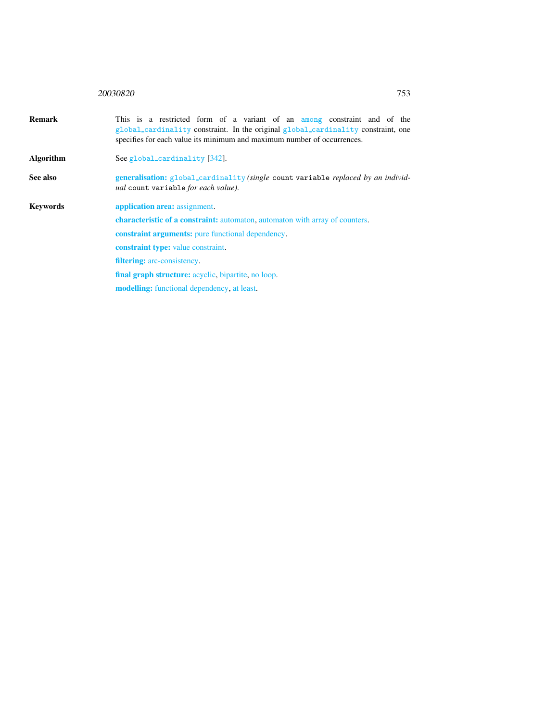## <sup>20030820</sup> 753

| <b>Remark</b>    | This is a restricted form of a variant of an among constraint and of the<br>global_cardinality constraint. In the original global_cardinality constraint, one<br>specifies for each value its minimum and maximum number of occurrences. |  |  |  |  |
|------------------|------------------------------------------------------------------------------------------------------------------------------------------------------------------------------------------------------------------------------------------|--|--|--|--|
| <b>Algorithm</b> | See global_cardinality [342].                                                                                                                                                                                                            |  |  |  |  |
| See also         | generalisation: global_cardinality (single count variable replaced by an individ-<br>ual count variable for each value).                                                                                                                 |  |  |  |  |
| <b>Keywords</b>  | application area: assignment.                                                                                                                                                                                                            |  |  |  |  |
|                  | characteristic of a constraint: automaton, automaton with array of counters.                                                                                                                                                             |  |  |  |  |

<span id="page-1-0"></span>constraint arguments: pure functional dependency.

constraint type: value constraint. filtering: arc-consistency.

final graph structure: acyclic, bipartite, no loop.

modelling: functional dependency, at least.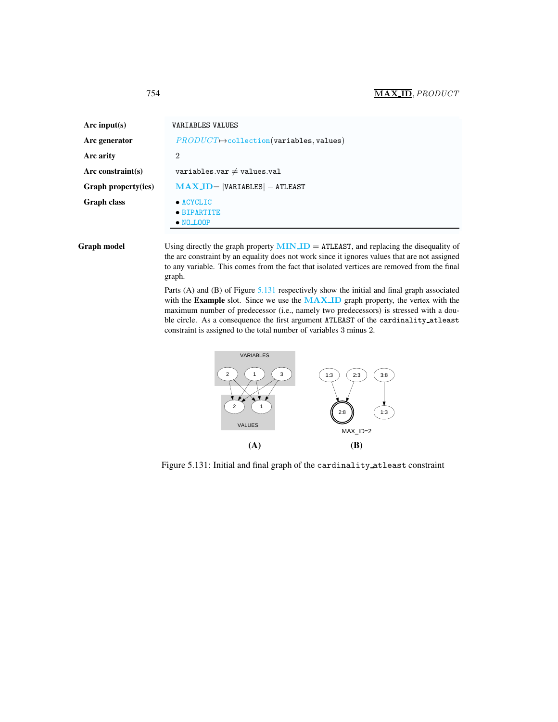<span id="page-2-0"></span>

| Arc input(s)               | <b>VARIABLES VALUES</b>                               |  |  |
|----------------------------|-------------------------------------------------------|--|--|
| Arc generator              | $PRODUCT \rightarrow collection(variables, values)$   |  |  |
| Arc arity                  | $\overline{2}$                                        |  |  |
| Arc constraint(s)          | variables.var $\neq$ values.val                       |  |  |
| <b>Graph property(ies)</b> | $MAX.ID =  VARIABLES  - ATLEAST$                      |  |  |
| <b>Graph class</b>         | $\bullet$ ACYCLIC<br>• BIPARTITE<br>$\bullet$ NO LOOP |  |  |

**Graph model** Using directly the graph property  $MIN.ID = ATLEAST$ , and replacing the disequality of the arc constraint by an equality does not work since it ignores values that are not assigned to any variable. This comes from the fact that isolated vertices are removed from the final graph.

> Parts (A) and (B) of Figure [5.131](#page-2-1) respectively show the initial and final graph associated with the Example slot. Since we use the MAX ID graph property, the vertex with the maximum number of predecessor (i.e., namely two predecessors) is stressed with a double circle. As a consequence the first argument ATLEAST of the cardinality atleast constraint is assigned to the total number of variables 3 minus 2.



<span id="page-2-1"></span>Figure 5.131: Initial and final graph of the cardinality atleast constraint